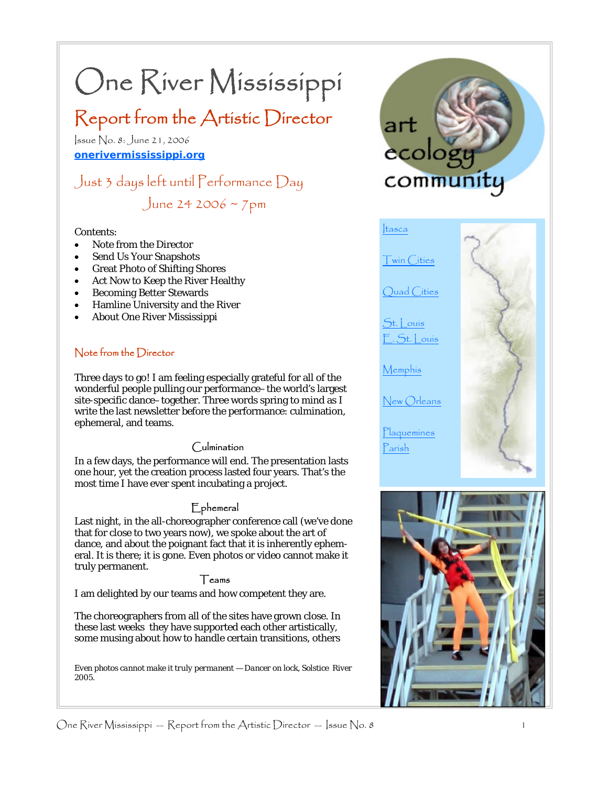# One River Mississippi

# Report from the Artistic Director

Issue No. 8: June 21, 2006 **onerivermississippi.org**

## Just 3 days left until Performance Day June 24 2006 ~  $7 \text{pm}$

#### Contents:

- Note from the Director
- Send Us Your Snapshots
- Great Photo of Shifting Shores
- Act Now to Keep the River Healthy
- Becoming Better Stewards
- Hamline University and the River
- About One River Mississippi

#### Note from the Director

Three days to go! I am feeling especially grateful for all of the wonderful people pulling our performance–the world's largest site-specific dance–together. Three words spring to mind as I write the last newsletter before the performance: culmination, ephemeral, and teams.

#### Culmination

In a few days, the performance will end. The presentation lasts one hour, yet the creation process lasted four years. That's the most time I have ever spent incubating a project.

#### Ephemeral

Last night, in the all-choreographer conference call (we've done that for close to two years now), we spoke about the art of dance, and about the poignant fact that it is inherently ephemeral. It is there; it is gone. Even photos or video cannot make it truly permanent.

#### Teams

I am delighted by our teams and how competent they are.

The choreographers from all of the sites have grown close. In these last weeks they have supported each other artistically, some musing about how to handle certain transitions, others

*Even photos cannot make it truly permanent — Dancer on lock, Solstice River 2005.* 



Itasca

Quad Cities

Twin Cities

 $St.$  | ouis  $S_t$ . St. | ouis

Memphis

New Orleans

Plaquemines Parish

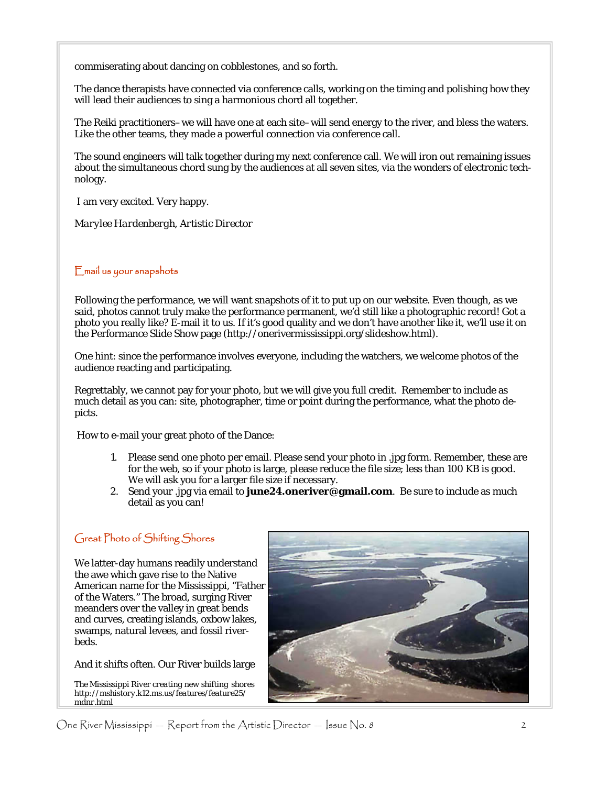commiserating about dancing on cobblestones, and so forth.

The dance therapists have connected via conference calls, working on the timing and polishing how they will lead their audiences to sing a harmonious chord all together.

The Reiki practitioners–we will have one at each site–will send energy to the river, and bless the waters. Like the other teams, they made a powerful connection via conference call.

The sound engineers will talk together during my next conference call. We will iron out remaining issues about the simultaneous chord sung by the audiences at all seven sites, via the wonders of electronic technology.

I am very excited. Very happy.

*Marylee Hardenbergh, Artistic Director* 

#### Email us your snapshots

Following the performance, we will want snapshots of it to put up on our website. Even though, as we said, photos cannot truly make the performance permanent, we'd still like a photographic record! Got a photo you really like? E-mail it to us. If it's good quality and we don't have another like it, we'll use it on the Performance Slide Show page (http://onerivermississippi.org/slideshow.html).

One hint: since the performance involves everyone, including the watchers, we welcome photos of the audience reacting and participating.

Regrettably, we cannot pay for your photo, but we will give you full credit. Remember to include as much detail as you can: site, photographer, time or point during the performance, what the photo depicts.

How to e-mail your great photo of the Dance:

- 1. Please send one photo per email. Please send your photo in .jpg form. Remember, these are for the web, so if your photo is large, please reduce the file size; less than 100 KB is good. We will ask you for a larger file size if necessary.
- 2. Send your .jpg via email to **june24.oneriver@gmail.com**. Be sure to include as much detail as you can!

#### Great Photo of Shifting Shores

We latter-day humans readily understand the awe which gave rise to the Native American name for the Mississippi, "Father of the Waters." The broad, surging River meanders over the valley in great bends and curves, creating islands, oxbow lakes, swamps, natural levees, and fossil riverbeds.

#### And it shifts often. Our River builds large

*The Mississippi River creating new shifting shores http://mshistory.k12.ms.us/features/feature25/ mdnr.html* 

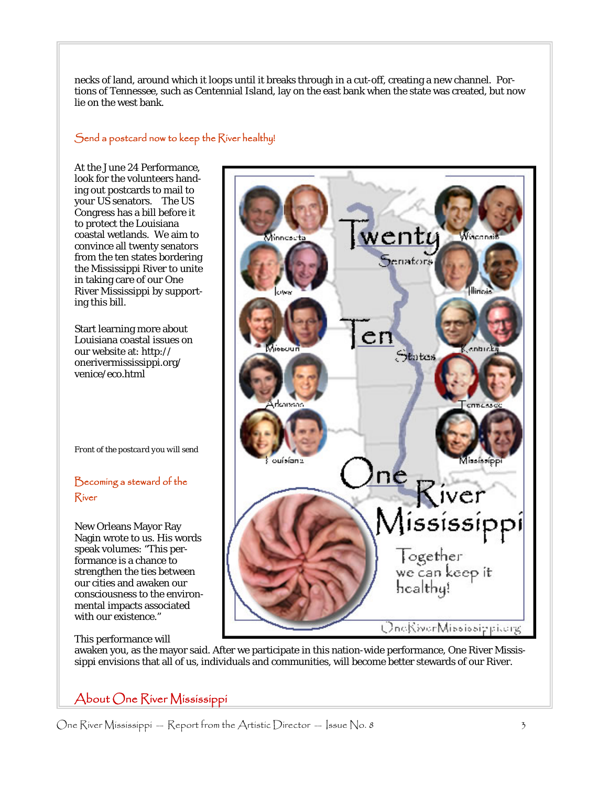necks of land, around which it loops until it breaks through in a cut-off, creating a new channel. Portions of Tennessee, such as Centennial Island, lay on the east bank when the state was created, but now lie on the west bank.

#### Send a postcard now to keep the River healthy!

At the June 24 Performance, look for the volunteers handing out postcards to mail to your US senators. The US Congress has a bill before it to protect the Louisiana coastal wetlands. We aim to convince all twenty senators from the ten states bordering the Mississippi River to unite in taking care of our One River Mississippi by supporting this bill.

Start learning more about Louisiana coastal issues on our website at: http:// onerivermississippi.org/ venice/eco.html

*Front of the postcard you will send* 

#### Becoming a steward of the River

New Orleans Mayor Ray Nagin wrote to us. His words speak volumes: "This performance is a chance to strengthen the ties between our cities and awaken our consciousness to the environmental impacts associated with our existence."

#### This performance will

wenty Wisconsk Minneseta enators en States ouisiana River lississippi<br>Together<br>We can keep it healthy!

awaken you, as the mayor said. After we participate in this nation-wide performance, One River Mississippi envisions that all of us, individuals and communities, will become better stewards of our River.

### About One River Mississippi

One River Mississippi — Report from the Artistic Director — Issue No. 8  $3$ 

OneKiverMississippilerg